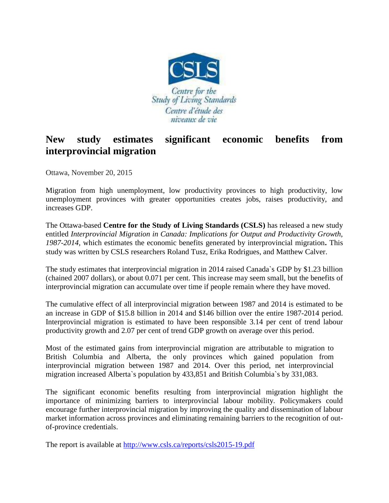

## **New study estimates significant economic benefits from interprovincial migration**

Ottawa, November 20, 2015

Migration from high unemployment, low productivity provinces to high productivity, low unemployment provinces with greater opportunities creates jobs, raises productivity, and increases GDP.

The Ottawa-based **Centre for the Study of Living Standards (CSLS)** has released a new study entitled *Interprovincial Migration in Canada: Implications for Output and Productivity Growth, 1987-2014,* which estimates the economic benefits generated by interprovincial migration**.** This study was written by CSLS researchers Roland Tusz, Erika Rodrigues, and Matthew Calver.

The study estimates that interprovincial migration in 2014 raised Canada`s GDP by \$1.23 billion (chained 2007 dollars), or about 0.071 per cent. This increase may seem small, but the benefits of interprovincial migration can accumulate over time if people remain where they have moved.

The cumulative effect of all interprovincial migration between 1987 and 2014 is estimated to be an increase in GDP of \$15.8 billion in 2014 and \$146 billion over the entire 1987-2014 period. Interprovincial migration is estimated to have been responsible 3.14 per cent of trend labour productivity growth and 2.07 per cent of trend GDP growth on average over this period.

Most of the estimated gains from interprovincial migration are attributable to migration to British Columbia and Alberta, the only provinces which gained population from interprovincial migration between 1987 and 2014. Over this period, net interprovincial migration increased Alberta`s population by 433,851 and British Columbia`s by 331,083.

The significant economic benefits resulting from interprovincial migration highlight the importance of minimizing barriers to interprovincial labour mobility. Policymakers could encourage further interprovincial migration by improving the quality and dissemination of labour market information across provinces and eliminating remaining barriers to the recognition of outof-province credentials.

The report is available at<http://www.csls.ca/reports/csls2015-19.pdf>